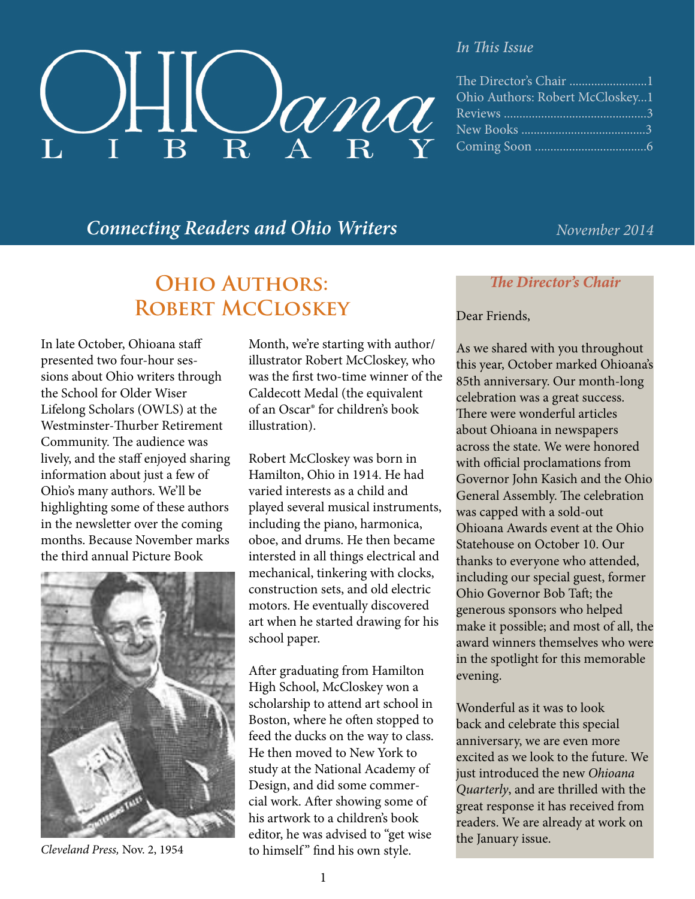

#### *In This Issue*

| Ohio Authors: Robert McCloskey1 |
|---------------------------------|
|                                 |
|                                 |
|                                 |

### *Connecting Readers and Ohio Writers November 2014*

## **Ohio Authors: Robert McCloskey**

In late October, Ohioana staff presented two four-hour sessions about Ohio writers through the School for Older Wiser Lifelong Scholars (OWLS) at the Westminster-Thurber Retirement Community. The audience was lively, and the staff enjoyed sharing information about just a few of Ohio's many authors. We'll be highlighting some of these authors in the newsletter over the coming months. Because November marks the third annual Picture Book



*Cleveland Press,* Nov. 2, 1954

Month, we're starting with author/ illustrator Robert McCloskey, who was the first two-time winner of the Caldecott Medal (the equivalent of an Oscar® for children's book illustration).

Robert McCloskey was born in Hamilton, Ohio in 1914. He had varied interests as a child and played several musical instruments, including the piano, harmonica, oboe, and drums. He then became intersted in all things electrical and mechanical, tinkering with clocks, construction sets, and old electric motors. He eventually discovered art when he started drawing for his school paper.

After graduating from Hamilton High School, McCloskey won a scholarship to attend art school in Boston, where he often stopped to feed the ducks on the way to class. He then moved to New York to study at the National Academy of Design, and did some commercial work. After showing some of his artwork to a children's book editor, he was advised to "get wise to himself" find his own style.

*The Director's Chair*

#### Dear Friends,

As we shared with you throughout this year, October marked Ohioana's 85th anniversary. Our month-long celebration was a great success. There were wonderful articles about Ohioana in newspapers across the state. We were honored with official proclamations from Governor John Kasich and the Ohio General Assembly. The celebration was capped with a sold-out Ohioana Awards event at the Ohio Statehouse on October 10. Our thanks to everyone who attended, including our special guest, former Ohio Governor Bob Taft; the generous sponsors who helped make it possible; and most of all, the award winners themselves who were in the spotlight for this memorable evening.

Wonderful as it was to look back and celebrate this special anniversary, we are even more excited as we look to the future. We just introduced the new *Ohioana Quarterly*, and are thrilled with the great response it has received from readers. We are already at work on the January issue.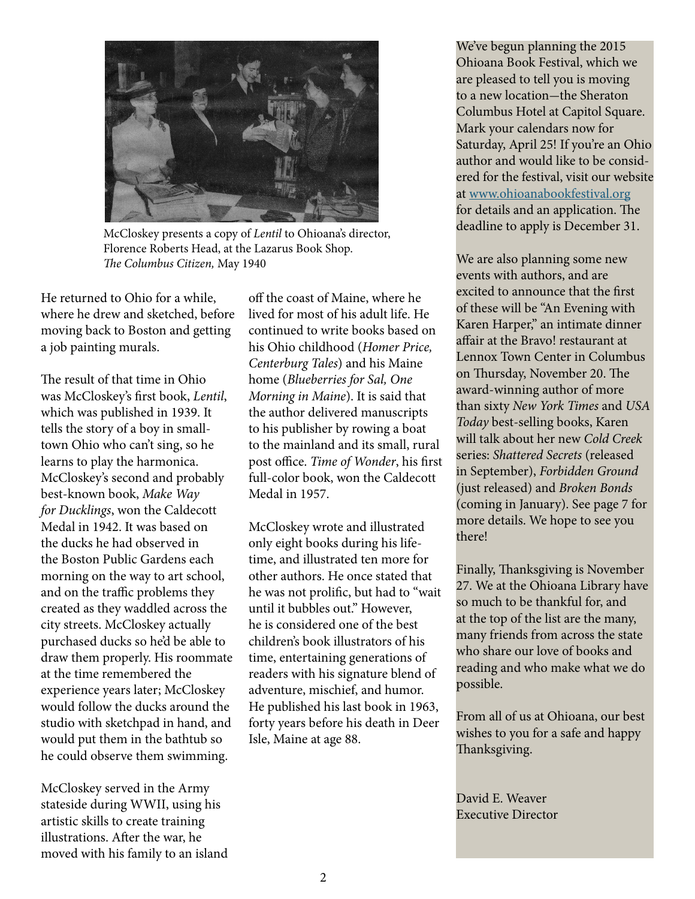

McCloskey presents a copy of *Lentil* to Ohioana's director, Florence Roberts Head, at the Lazarus Book Shop. *The Columbus Citizen,* May 1940

He returned to Ohio for a while, where he drew and sketched, before moving back to Boston and getting a job painting murals.

The result of that time in Ohio was McCloskey's first book, *Lentil*, which was published in 1939. It tells the story of a boy in smalltown Ohio who can't sing, so he learns to play the harmonica. McCloskey's second and probably best-known book, *Make Way for Ducklings*, won the Caldecott Medal in 1942. It was based on the ducks he had observed in the Boston Public Gardens each morning on the way to art school, and on the traffic problems they created as they waddled across the city streets. McCloskey actually purchased ducks so he'd be able to draw them properly. His roommate at the time remembered the experience years later; McCloskey would follow the ducks around the studio with sketchpad in hand, and would put them in the bathtub so he could observe them swimming.

McCloskey served in the Army stateside during WWII, using his artistic skills to create training illustrations. After the war, he moved with his family to an island off the coast of Maine, where he lived for most of his adult life. He continued to write books based on his Ohio childhood (*Homer Price, Centerburg Tales*) and his Maine home (*Blueberries for Sal, One Morning in Maine*). It is said that the author delivered manuscripts to his publisher by rowing a boat to the mainland and its small, rural post office. *Time of Wonder*, his first full-color book, won the Caldecott Medal in 1957.

McCloskey wrote and illustrated only eight books during his lifetime, and illustrated ten more for other authors. He once stated that he was not prolific, but had to "wait until it bubbles out." However, he is considered one of the best children's book illustrators of his time, entertaining generations of readers with his signature blend of adventure, mischief, and humor. He published his last book in 1963, forty years before his death in Deer Isle, Maine at age 88.

We've begun planning the 2015 Ohioana Book Festival, which we are pleased to tell you is moving to a new location-the Sheraton Columbus Hotel at Capitol Square. Mark your calendars now for Saturday, April 25! If you're an Ohio author and would like to be considered for the festival, visit our website at [www.ohioanabookfestival.org](http://www.ohioanabookfestival.org) for details and an application. The deadline to apply is December 31.

We are also planning some new events with authors, and are excited to announce that the first of these will be "An Evening with Karen Harper," an intimate dinner affair at the Bravo! restaurant at Lennox Town Center in Columbus on Thursday, November 20. The award-winning author of more than sixty *New York Times* and *USA Today* best-selling books, Karen will talk about her new *Cold Creek* series: *Shattered Secrets* (released in September), *Forbidden Ground* (just released) and *Broken Bonds* (coming in January). See page 7 for more details. We hope to see you there!

Finally, Thanksgiving is November 27. We at the Ohioana Library have so much to be thankful for, and at the top of the list are the many, many friends from across the state who share our love of books and reading and who make what we do possible.

From all of us at Ohioana, our best wishes to you for a safe and happy Thanksgiving.

David E. Weaver Executive Director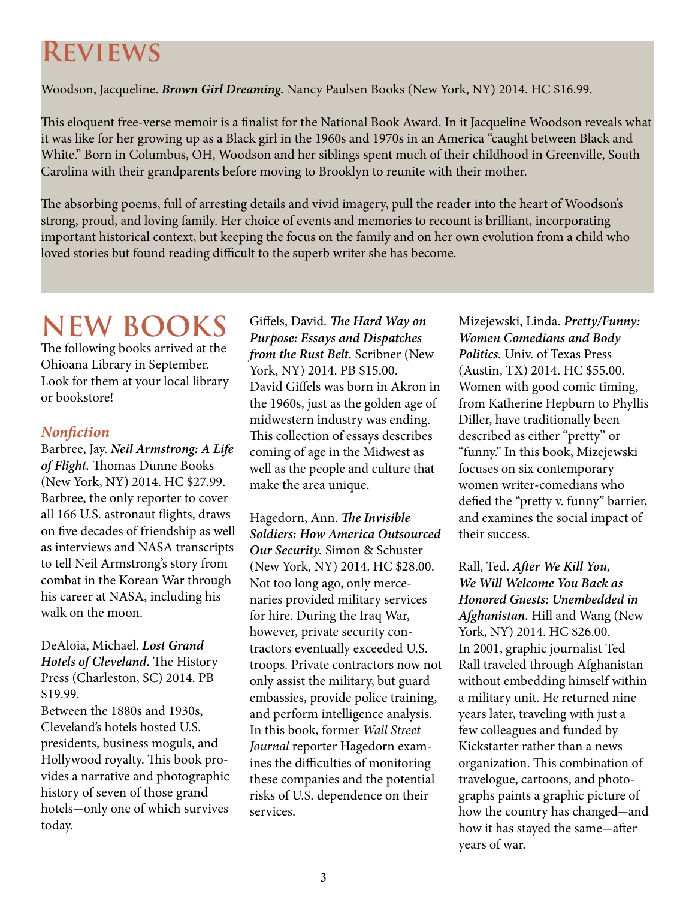# **Reviews**

Woodson, Jacqueline. *Brown Girl Dreaming.* Nancy Paulsen Books (New York, NY) 2014. HC \$16.99.

This eloquent free-verse memoir is a finalist for the National Book Award. In it Jacqueline Woodson reveals what it was like for her growing up as a Black girl in the 1960s and 1970s in an America "caught between Black and White." Born in Columbus, OH, Woodson and her siblings spent much of their childhood in Greenville, South Carolina with their grandparents before moving to Brooklyn to reunite with their mother.

The absorbing poems, full of arresting details and vivid imagery, pull the reader into the heart of Woodson's strong, proud, and loving family. Her choice of events and memories to recount is brilliant, incorporating important historical context, but keeping the focus on the family and on her own evolution from a child who loved stories but found reading difficult to the superb writer she has become.

# **NEW BOOKS**

The following books arrived at the Ohioana Library in September. Look for them at your local library or bookstore!

#### *Nonfiction*

Barbree, Jay. *Neil Armstrong: A Life of Flight.* Thomas Dunne Books (New York, NY) 2014. HC \$27.99. Barbree, the only reporter to cover all 166 U.S. astronaut flights, draws on five decades of friendship as well as interviews and NASA transcripts to tell Neil Armstrong's story from combat in the Korean War through his career at NASA, including his walk on the moon.

DeAloia, Michael. *Lost Grand Hotels of Cleveland.* The History Press (Charleston, SC) 2014. PB \$19.99.

Between the 1880s and 1930s, Cleveland's hotels hosted U.S. presidents, business moguls, and Hollywood royalty. This book provides a narrative and photographic history of seven of those grand hotels-only one of which survives today.

Giffels, David. *The Hard Way on Purpose: Essays and Dispatches from the Rust Belt.* Scribner (New York, NY) 2014. PB \$15.00. David Giffels was born in Akron in the 1960s, just as the golden age of midwestern industry was ending. This collection of essays describes coming of age in the Midwest as well as the people and culture that make the area unique.

Hagedorn, Ann. *The Invisible Soldiers: How America Outsourced Our Security.* Simon & Schuster (New York, NY) 2014. HC \$28.00. Not too long ago, only mercenaries provided military services for hire. During the Iraq War, however, private security contractors eventually exceeded U.S. troops. Private contractors now not only assist the military, but guard embassies, provide police training, and perform intelligence analysis. In this book, former *Wall Street Journal* reporter Hagedorn examines the difficulties of monitoring these companies and the potential risks of U.S. dependence on their services.

Mizejewski, Linda. *Pretty/Funny: Women Comedians and Body Politics.* Univ. of Texas Press (Austin, TX) 2014. HC \$55.00. Women with good comic timing, from Katherine Hepburn to Phyllis Diller, have traditionally been described as either "pretty" or "funny." In this book, Mizejewski focuses on six contemporary women writer-comedians who defied the "pretty v. funny" barrier, and examines the social impact of their success.

Rall, Ted. *After We Kill You, We Will Welcome You Back as Honored Guests: Unembedded in Afghanistan.* Hill and Wang (New York, NY) 2014. HC \$26.00. In 2001, graphic journalist Ted Rall traveled through Afghanistan without embedding himself within a military unit. He returned nine years later, traveling with just a few colleagues and funded by Kickstarter rather than a news organization. This combination of travelogue, cartoons, and photographs paints a graphic picture of how the country has changed-and how it has stayed the same-after years of war.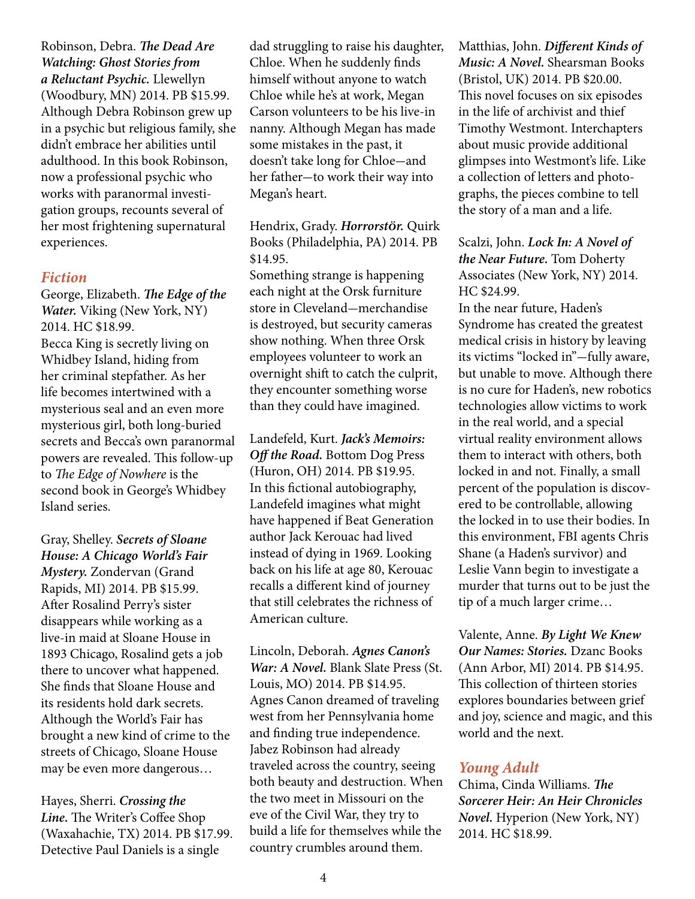Robinson, Debra. *The Dead Are Watching: Ghost Stories from a Reluctant Psychic.* Llewellyn (Woodbury, MN) 2014. PB \$15.99. Although Debra Robinson grew up in a psychic but religious family, she didn't embrace her abilities until adulthood. In this book Robinson, now a professional psychic who works with paranormal investigation groups, recounts several of her most frightening supernatural experiences.

#### *Fiction*

George, Elizabeth. *The Edge of the Water.* Viking (New York, NY) 2014. HC \$18.99. Becca King is secretly living on Whidbey Island, hiding from her criminal stepfather. As her life becomes intertwined with a mysterious seal and an even more mysterious girl, both long-buried secrets and Becca's own paranormal powers are revealed. This follow-up to *The Edge of Nowhere* is the second book in George's Whidbey Island series.

Gray, Shelley. *Secrets of Sloane House: A Chicago World's Fair Mystery.* Zondervan (Grand Rapids, MI) 2014. PB \$15.99. After Rosalind Perry's sister disappears while working as a live-in maid at Sloane House in 1893 Chicago, Rosalind gets a job there to uncover what happened. She finds that Sloane House and its residents hold dark secrets. Although the World's Fair has brought a new kind of crime to the streets of Chicago, Sloane House may be even more dangerous…

Hayes, Sherri. *Crossing the Line.* The Writer's Coffee Shop (Waxahachie, TX) 2014. PB \$17.99. Detective Paul Daniels is a single

dad struggling to raise his daughter, Chloe. When he suddenly finds himself without anyone to watch Chloe while he's at work, Megan Carson volunteers to be his live-in nanny. Although Megan has made some mistakes in the past, it doesn't take long for Chloe-and her father-to work their way into Megan's heart.

Hendrix, Grady. *HorrorstÖr.* Quirk Books (Philadelphia, PA) 2014. PB \$14.95.

Something strange is happening each night at the Orsk furniture store in Cleveland-merchandise is destroyed, but security cameras show nothing. When three Orsk employees volunteer to work an overnight shift to catch the culprit, they encounter something worse than they could have imagined.

Landefeld, Kurt. *Jack's Memoirs: Off the Road.* Bottom Dog Press (Huron, OH) 2014. PB \$19.95. In this fictional autobiography, Landefeld imagines what might have happened if Beat Generation author Jack Kerouac had lived instead of dying in 1969. Looking back on his life at age 80, Kerouac recalls a different kind of journey that still celebrates the richness of American culture.

Lincoln, Deborah. *Agnes Canon's War: A Novel.* Blank Slate Press (St. Louis, MO) 2014. PB \$14.95. Agnes Canon dreamed of traveling west from her Pennsylvania home and finding true independence. Jabez Robinson had already traveled across the country, seeing both beauty and destruction. When the two meet in Missouri on the eve of the Civil War, they try to build a life for themselves while the country crumbles around them.

Matthias, John. *Different Kinds of Music: A Novel.* Shearsman Books (Bristol, UK) 2014. PB \$20.00. This novel focuses on six episodes in the life of archivist and thief Timothy Westmont. Interchapters about music provide additional glimpses into Westmont's life. Like a collection of letters and photographs, the pieces combine to tell the story of a man and a life.

#### Scalzi, John. *Lock In: A Novel of the Near Future.* Tom Doherty Associates (New York, NY) 2014. HC \$24.99.

In the near future, Haden's Syndrome has created the greatest medical crisis in history by leaving its victims "locked in"-fully aware, but unable to move. Although there is no cure for Haden's, new robotics technologies allow victims to work in the real world, and a special virtual reality environment allows them to interact with others, both locked in and not. Finally, a small percent of the population is discovered to be controllable, allowing the locked in to use their bodies. In this environment, FBI agents Chris Shane (a Haden's survivor) and Leslie Vann begin to investigate a murder that turns out to be just the tip of a much larger crime…

Valente, Anne. *By Light We Knew Our Names: Stories.* Dzanc Books (Ann Arbor, MI) 2014. PB \$14.95. This collection of thirteen stories explores boundaries between grief and joy, science and magic, and this world and the next.

#### *Young Adult*

Chima, Cinda Williams. *The Sorcerer Heir: An Heir Chronicles Novel.* Hyperion (New York, NY) 2014. HC \$18.99.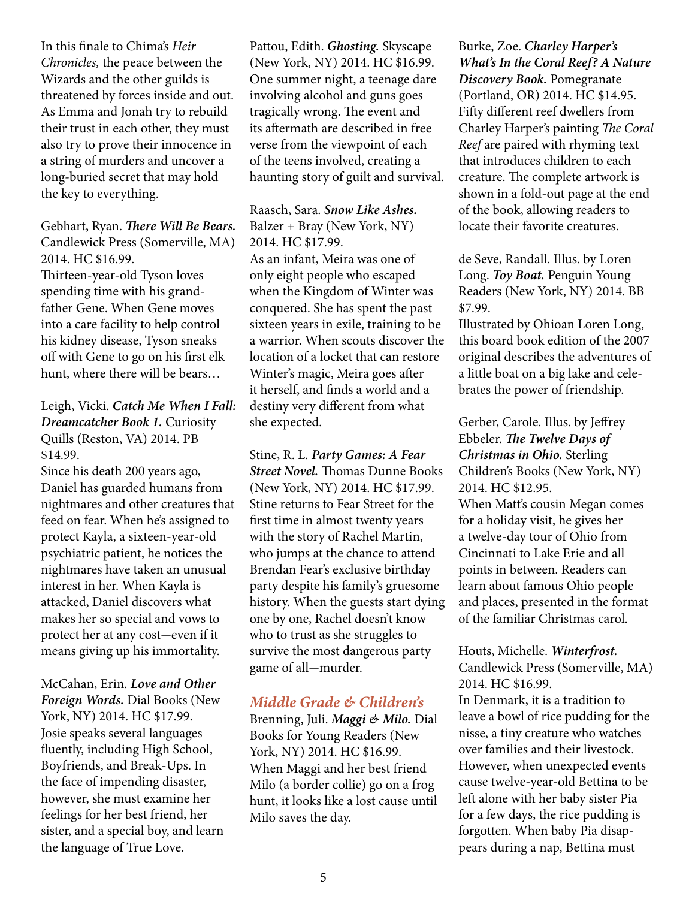In this finale to Chima's *Heir Chronicles,* the peace between the Wizards and the other guilds is threatened by forces inside and out. As Emma and Jonah try to rebuild their trust in each other, they must also try to prove their innocence in a string of murders and uncover a long-buried secret that may hold the key to everything.

Gebhart, Ryan. *There Will Be Bears.*  Candlewick Press (Somerville, MA) 2014. HC \$16.99. Thirteen-year-old Tyson loves spending time with his grandfather Gene. When Gene moves into a care facility to help control his kidney disease, Tyson sneaks off with Gene to go on his first elk hunt, where there will be bears…

#### Leigh, Vicki. *Catch Me When I Fall: Dreamcatcher Book 1.* Curiosity Quills (Reston, VA) 2014. PB \$14.99.

Since his death 200 years ago, Daniel has guarded humans from nightmares and other creatures that feed on fear. When he's assigned to protect Kayla, a sixteen-year-old psychiatric patient, he notices the nightmares have taken an unusual interest in her. When Kayla is attacked, Daniel discovers what makes her so special and vows to protect her at any cost-even if it means giving up his immortality.

McCahan, Erin. *Love and Other Foreign Words.* Dial Books (New York, NY) 2014. HC \$17.99. Josie speaks several languages fluently, including High School, Boyfriends, and Break-Ups. In the face of impending disaster, however, she must examine her feelings for her best friend, her sister, and a special boy, and learn the language of True Love.

Pattou, Edith. *Ghosting.* Skyscape (New York, NY) 2014. HC \$16.99. One summer night, a teenage dare involving alcohol and guns goes tragically wrong. The event and its aftermath are described in free verse from the viewpoint of each of the teens involved, creating a haunting story of guilt and survival.

#### Raasch, Sara. *Snow Like Ashes.* Balzer + Bray (New York, NY) 2014. HC \$17.99.

As an infant, Meira was one of only eight people who escaped when the Kingdom of Winter was conquered. She has spent the past sixteen years in exile, training to be a warrior. When scouts discover the location of a locket that can restore Winter's magic, Meira goes after it herself, and finds a world and a destiny very different from what she expected.

Stine, R. L. *Party Games: A Fear Street Novel.* Thomas Dunne Books (New York, NY) 2014. HC \$17.99. Stine returns to Fear Street for the first time in almost twenty years with the story of Rachel Martin, who jumps at the chance to attend Brendan Fear's exclusive birthday party despite his family's gruesome history. When the guests start dying one by one, Rachel doesn't know who to trust as she struggles to survive the most dangerous party game of all-murder.

#### *Middle Grade & Children's*

Brenning, Juli. *Maggi & Milo.* Dial Books for Young Readers (New York, NY) 2014. HC \$16.99. When Maggi and her best friend Milo (a border collie) go on a frog hunt, it looks like a lost cause until Milo saves the day.

Burke, Zoe. *Charley Harper's What's In the Coral Reef? A Nature Discovery Book.* Pomegranate (Portland, OR) 2014. HC \$14.95. Fifty different reef dwellers from Charley Harper's painting *The Coral Reef* are paired with rhyming text that introduces children to each creature. The complete artwork is shown in a fold-out page at the end of the book, allowing readers to locate their favorite creatures.

de Seve, Randall. Illus. by Loren Long. *Toy Boat.* Penguin Young Readers (New York, NY) 2014. BB \$7.99.

Illustrated by Ohioan Loren Long, this board book edition of the 2007 original describes the adventures of a little boat on a big lake and celebrates the power of friendship.

Gerber, Carole. Illus. by Jeffrey Ebbeler. *The Twelve Days of Christmas in Ohio.* Sterling Children's Books (New York, NY) 2014. HC \$12.95. When Matt's cousin Megan comes for a holiday visit, he gives her a twelve-day tour of Ohio from Cincinnati to Lake Erie and all

points in between. Readers can learn about famous Ohio people and places, presented in the format of the familiar Christmas carol.

#### Houts, Michelle. *Winterfrost.* Candlewick Press (Somerville, MA) 2014. HC \$16.99.

In Denmark, it is a tradition to leave a bowl of rice pudding for the nisse, a tiny creature who watches over families and their livestock. However, when unexpected events cause twelve-year-old Bettina to be left alone with her baby sister Pia for a few days, the rice pudding is forgotten. When baby Pia disappears during a nap, Bettina must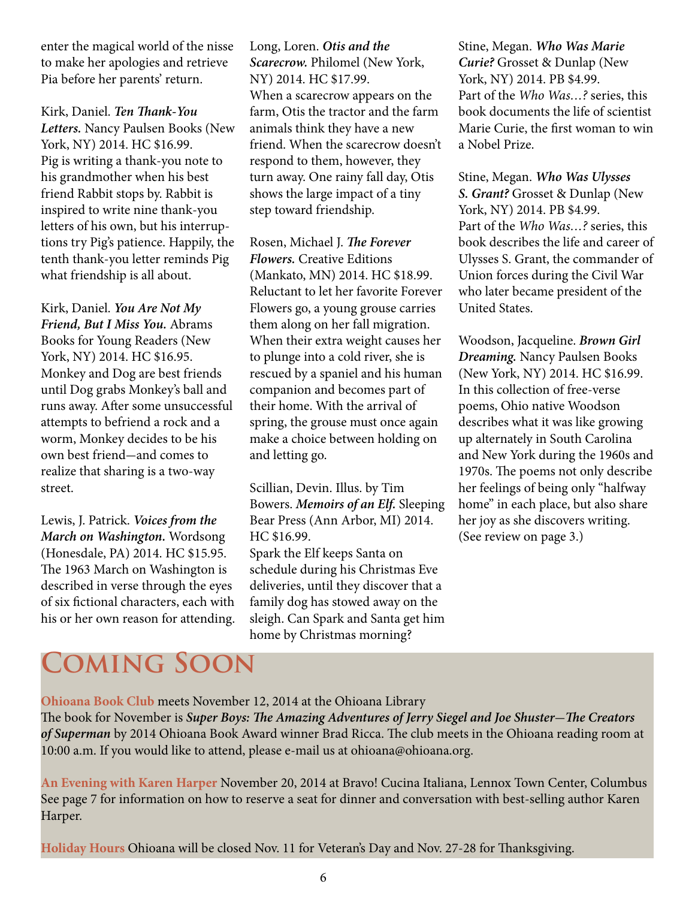enter the magical world of the nisse to make her apologies and retrieve Pia before her parents' return.

Kirk, Daniel. *Ten Thank-You Letters.* Nancy Paulsen Books (New York, NY) 2014. HC \$16.99. Pig is writing a thank-you note to his grandmother when his best friend Rabbit stops by. Rabbit is inspired to write nine thank-you letters of his own, but his interruptions try Pig's patience. Happily, the tenth thank-you letter reminds Pig what friendship is all about.

Kirk, Daniel. *You Are Not My Friend, But I Miss You.* Abrams Books for Young Readers (New York, NY) 2014. HC \$16.95. Monkey and Dog are best friends until Dog grabs Monkey's ball and runs away. After some unsuccessful attempts to befriend a rock and a worm, Monkey decides to be his own best friend-and comes to realize that sharing is a two-way street.

Lewis, J. Patrick. *Voices from the March on Washington.* Wordsong (Honesdale, PA) 2014. HC \$15.95. The 1963 March on Washington is described in verse through the eyes of six fictional characters, each with his or her own reason for attending. Long, Loren. *Otis and the Scarecrow.* Philomel (New York, NY) 2014. HC \$17.99. When a scarecrow appears on the farm, Otis the tractor and the farm animals think they have a new friend. When the scarecrow doesn't respond to them, however, they turn away. One rainy fall day, Otis shows the large impact of a tiny step toward friendship.

Rosen, Michael J. *The Forever Flowers.* Creative Editions (Mankato, MN) 2014. HC \$18.99. Reluctant to let her favorite Forever Flowers go, a young grouse carries them along on her fall migration. When their extra weight causes her to plunge into a cold river, she is rescued by a spaniel and his human companion and becomes part of their home. With the arrival of spring, the grouse must once again make a choice between holding on and letting go.

Scillian, Devin. Illus. by Tim Bowers. *Memoirs of an Elf.* Sleeping Bear Press (Ann Arbor, MI) 2014. HC \$16.99. Spark the Elf keeps Santa on schedule during his Christmas Eve deliveries, until they discover that a family dog has stowed away on the sleigh. Can Spark and Santa get him home by Christmas morning?

Stine, Megan. *Who Was Marie Curie?* Grosset & Dunlap (New York, NY) 2014. PB \$4.99. Part of the *Who Was…?* series, this book documents the life of scientist Marie Curie, the first woman to win a Nobel Prize.

Stine, Megan. *Who Was Ulysses S. Grant?* Grosset & Dunlap (New York, NY) 2014. PB \$4.99. Part of the *Who Was…?* series, this book describes the life and career of Ulysses S. Grant, the commander of Union forces during the Civil War who later became president of the United States.

Woodson, Jacqueline. *Brown Girl Dreaming.* Nancy Paulsen Books (New York, NY) 2014. HC \$16.99. In this collection of free-verse poems, Ohio native Woodson describes what it was like growing up alternately in South Carolina and New York during the 1960s and 1970s. The poems not only describe her feelings of being only "halfway home" in each place, but also share her joy as she discovers writing. (See review on page 3.)

# **Coming Soon**

**Ohioana Book Club** meets November 12, 2014 at the Ohioana Library

The book for November is *Super Boys: The Amazing Adventures of Jerry Siegel and Joe Shuster*-*The Creators of Superman* by 2014 Ohioana Book Award winner Brad Ricca. The club meets in the Ohioana reading room at 10:00 a.m. If you would like to attend, please e-mail us at ohioana@ohioana.org.

**An Evening with Karen Harper** November 20, 2014 at Bravo! Cucina Italiana, Lennox Town Center, Columbus See page 7 for information on how to reserve a seat for dinner and conversation with best-selling author Karen Harper.

**Holiday Hours** Ohioana will be closed Nov. 11 for Veteran's Day and Nov. 27-28 for Thanksgiving.